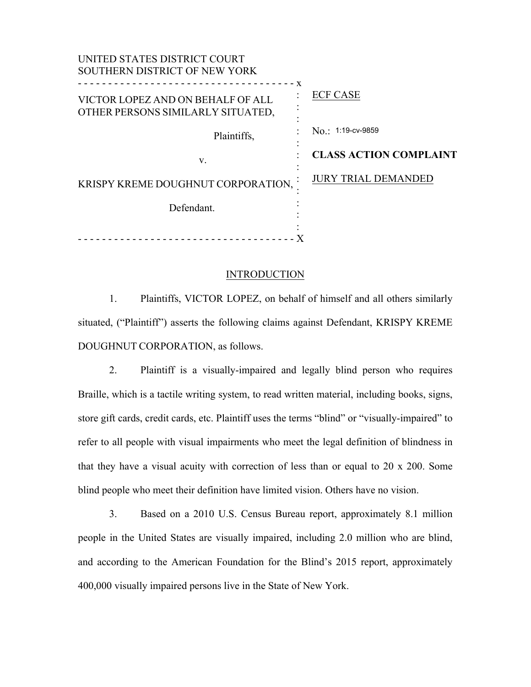| <b>ECF CASE</b>               |
|-------------------------------|
| No.: 1:19-cv-9859             |
| <b>CLASS ACTION COMPLAINT</b> |
| <b>JURY TRIAL DEMANDED</b>    |
|                               |
|                               |
|                               |

## **INTRODUCTION**

1. Plaintiffs, VICTOR LOPEZ, on behalf of himself and all others similarly situated, ("Plaintiff") asserts the following claims against Defendant, KRISPY KREME DOUGHNUT CORPORATION, as follows.

2. Plaintiff is a visually-impaired and legally blind person who requires Braille, which is a tactile writing system, to read written material, including books, signs, store gift cards, credit cards, etc. Plaintiff uses the terms "blind" or "visually-impaired" to refer to all people with visual impairments who meet the legal definition of blindness in that they have a visual acuity with correction of less than or equal to 20 x 200. Some blind people who meet their definition have limited vision. Others have no vision.

3. Based on a 2010 U.S. Census Bureau report, approximately 8.1 million people in the United States are visually impaired, including 2.0 million who are blind, and according to the American Foundation for the Blind's 2015 report, approximately 400,000 visually impaired persons live in the State of New York.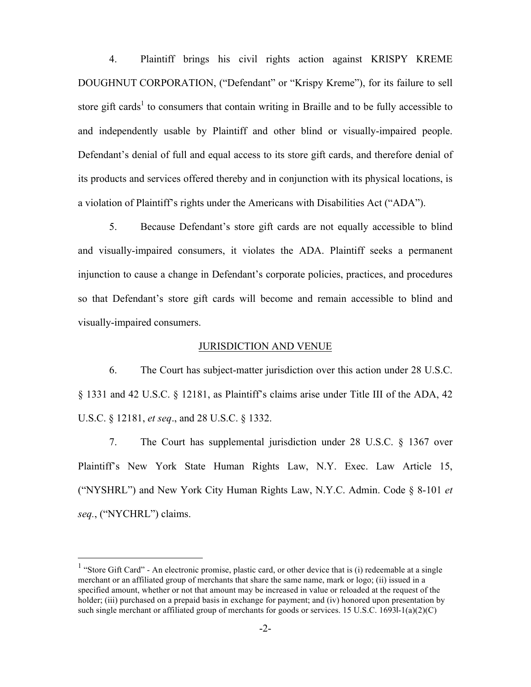4. Plaintiff brings his civil rights action against KRISPY KREME DOUGHNUT CORPORATION, ("Defendant" or "Krispy Kreme"), for its failure to sell store gift cards<sup>1</sup> to consumers that contain writing in Braille and to be fully accessible to and independently usable by Plaintiff and other blind or visually-impaired people. Defendant's denial of full and equal access to its store gift cards, and therefore denial of its products and services offered thereby and in conjunction with its physical locations, is a violation of Plaintiff's rights under the Americans with Disabilities Act ("ADA").

5. Because Defendant's store gift cards are not equally accessible to blind and visually-impaired consumers, it violates the ADA. Plaintiff seeks a permanent injunction to cause a change in Defendant's corporate policies, practices, and procedures so that Defendant's store gift cards will become and remain accessible to blind and visually-impaired consumers.

#### JURISDICTION AND VENUE

6. The Court has subject-matter jurisdiction over this action under 28 U.S.C. § 1331 and 42 U.S.C. § 12181, as Plaintiff's claims arise under Title III of the ADA, 42 U.S.C. § 12181, *et seq*., and 28 U.S.C. § 1332.

7. The Court has supplemental jurisdiction under 28 U.S.C. § 1367 over Plaintiff's New York State Human Rights Law, N.Y. Exec. Law Article 15, ("NYSHRL") and New York City Human Rights Law, N.Y.C. Admin. Code § 8-101 *et seq.*, ("NYCHRL") claims.

<sup>&</sup>lt;sup>1</sup> "Store Gift Card" - An electronic promise, plastic card, or other device that is (i) redeemable at a single merchant or an affiliated group of merchants that share the same name, mark or logo; (ii) issued in a specified amount, whether or not that amount may be increased in value or reloaded at the request of the holder; (iii) purchased on a prepaid basis in exchange for payment; and (iv) honored upon presentation by such single merchant or affiliated group of merchants for goods or services. 15 U.S.C. 1693l-1(a)(2)(C)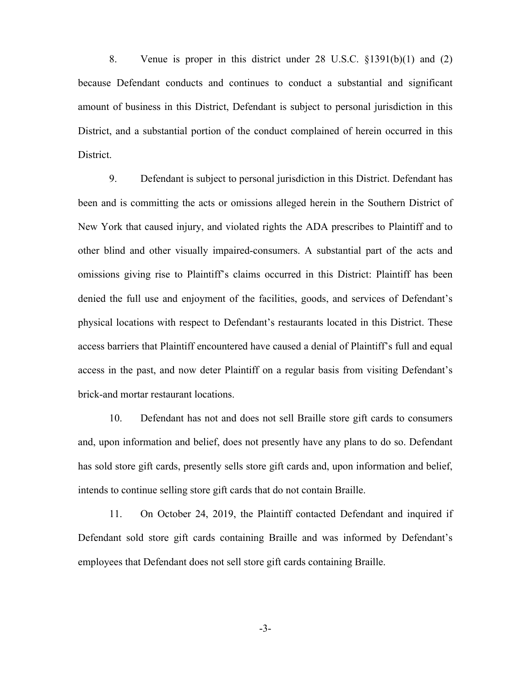8. Venue is proper in this district under 28 U.S.C. §1391(b)(1) and (2) because Defendant conducts and continues to conduct a substantial and significant amount of business in this District, Defendant is subject to personal jurisdiction in this District, and a substantial portion of the conduct complained of herein occurred in this District.

9. Defendant is subject to personal jurisdiction in this District. Defendant has been and is committing the acts or omissions alleged herein in the Southern District of New York that caused injury, and violated rights the ADA prescribes to Plaintiff and to other blind and other visually impaired-consumers. A substantial part of the acts and omissions giving rise to Plaintiff's claims occurred in this District: Plaintiff has been denied the full use and enjoyment of the facilities, goods, and services of Defendant's physical locations with respect to Defendant's restaurants located in this District. These access barriers that Plaintiff encountered have caused a denial of Plaintiff's full and equal access in the past, and now deter Plaintiff on a regular basis from visiting Defendant's brick-and mortar restaurant locations.

10. Defendant has not and does not sell Braille store gift cards to consumers and, upon information and belief, does not presently have any plans to do so. Defendant has sold store gift cards, presently sells store gift cards and, upon information and belief, intends to continue selling store gift cards that do not contain Braille.

11. On October 24, 2019, the Plaintiff contacted Defendant and inquired if Defendant sold store gift cards containing Braille and was informed by Defendant's employees that Defendant does not sell store gift cards containing Braille.

-3-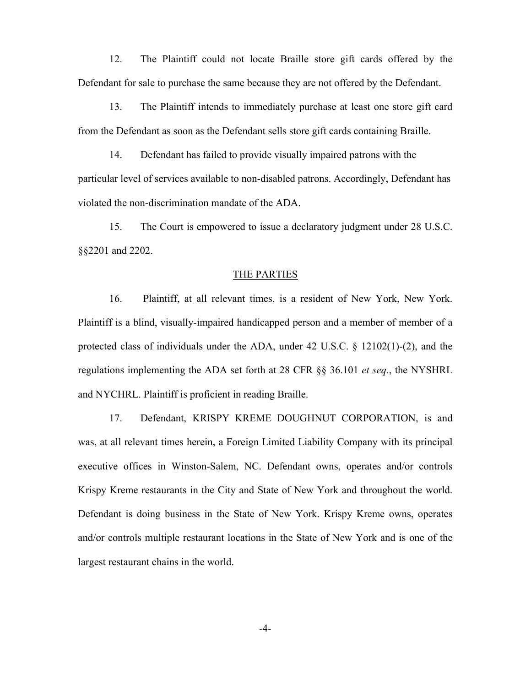12. The Plaintiff could not locate Braille store gift cards offered by the Defendant for sale to purchase the same because they are not offered by the Defendant.

13. The Plaintiff intends to immediately purchase at least one store gift card from the Defendant as soon as the Defendant sells store gift cards containing Braille.

14. Defendant has failed to provide visually impaired patrons with the particular level of services available to non-disabled patrons. Accordingly, Defendant has violated the non-discrimination mandate of the ADA.

15. The Court is empowered to issue a declaratory judgment under 28 U.S.C. §§2201 and 2202.

#### THE PARTIES

16. Plaintiff, at all relevant times, is a resident of New York, New York. Plaintiff is a blind, visually-impaired handicapped person and a member of member of a protected class of individuals under the ADA, under  $42 \text{ U.S.C.} \& 12102(1)-(2)$ , and the regulations implementing the ADA set forth at 28 CFR §§ 36.101 *et seq*., the NYSHRL and NYCHRL. Plaintiff is proficient in reading Braille.

17. Defendant, KRISPY KREME DOUGHNUT CORPORATION, is and was, at all relevant times herein, a Foreign Limited Liability Company with its principal executive offices in Winston-Salem, NC. Defendant owns, operates and/or controls Krispy Kreme restaurants in the City and State of New York and throughout the world. Defendant is doing business in the State of New York. Krispy Kreme owns, operates and/or controls multiple restaurant locations in the State of New York and is one of the largest restaurant chains in the world.

-4-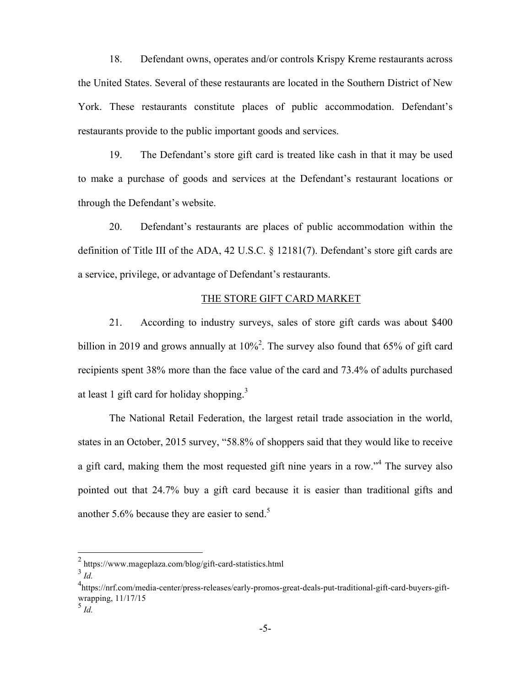18. Defendant owns, operates and/or controls Krispy Kreme restaurants across the United States. Several of these restaurants are located in the Southern District of New York. These restaurants constitute places of public accommodation. Defendant's restaurants provide to the public important goods and services.

19. The Defendant's store gift card is treated like cash in that it may be used to make a purchase of goods and services at the Defendant's restaurant locations or through the Defendant's website.

20. Defendant's restaurants are places of public accommodation within the definition of Title III of the ADA, 42 U.S.C. § 12181(7). Defendant's store gift cards are a service, privilege, or advantage of Defendant's restaurants.

## THE STORE GIFT CARD MARKET

21. According to industry surveys, sales of store gift cards was about \$400 billion in 2019 and grows annually at  $10\%$ <sup>2</sup>. The survey also found that 65% of gift card recipients spent 38% more than the face value of the card and 73.4% of adults purchased at least 1 gift card for holiday shopping.<sup>3</sup>

The National Retail Federation, the largest retail trade association in the world, states in an October, 2015 survey, "58.8% of shoppers said that they would like to receive a gift card, making them the most requested gift nine years in a row."<sup>4</sup> The survey also pointed out that 24.7% buy a gift card because it is easier than traditional gifts and another 5.6% because they are easier to send.<sup>5</sup>

 $^{2}$  https://www.mageplaza.com/blog/gift-card-statistics.html

<sup>3</sup> *Id.*

<sup>4</sup> https://nrf.com/media-center/press-releases/early-promos-great-deals-put-traditional-gift-card-buyers-giftwrapping, 11/17/15

<sup>5</sup> *Id.*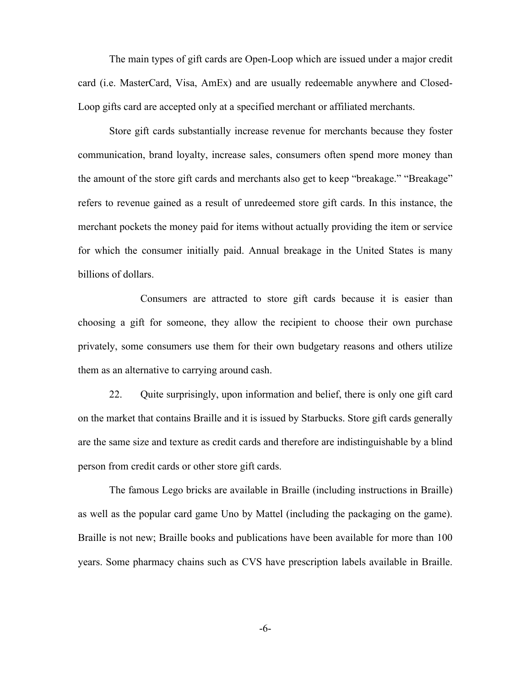The main types of gift cards are Open-Loop which are issued under a major credit card (i.e. MasterCard, Visa, AmEx) and are usually redeemable anywhere and Closed-Loop gifts card are accepted only at a specified merchant or affiliated merchants.

Store gift cards substantially increase revenue for merchants because they foster communication, brand loyalty, increase sales, consumers often spend more money than the amount of the store gift cards and merchants also get to keep "breakage." "Breakage" refers to revenue gained as a result of unredeemed store gift cards. In this instance, the merchant pockets the money paid for items without actually providing the item or service for which the consumer initially paid. Annual breakage in the United States is many billions of dollars.

Consumers are attracted to store gift cards because it is easier than choosing a gift for someone, they allow the recipient to choose their own purchase privately, some consumers use them for their own budgetary reasons and others utilize them as an alternative to carrying around cash.

22. Quite surprisingly, upon information and belief, there is only one gift card on the market that contains Braille and it is issued by Starbucks. Store gift cards generally are the same size and texture as credit cards and therefore are indistinguishable by a blind person from credit cards or other store gift cards.

The famous Lego bricks are available in Braille (including instructions in Braille) as well as the popular card game Uno by Mattel (including the packaging on the game). Braille is not new; Braille books and publications have been available for more than 100 years. Some pharmacy chains such as CVS have prescription labels available in Braille.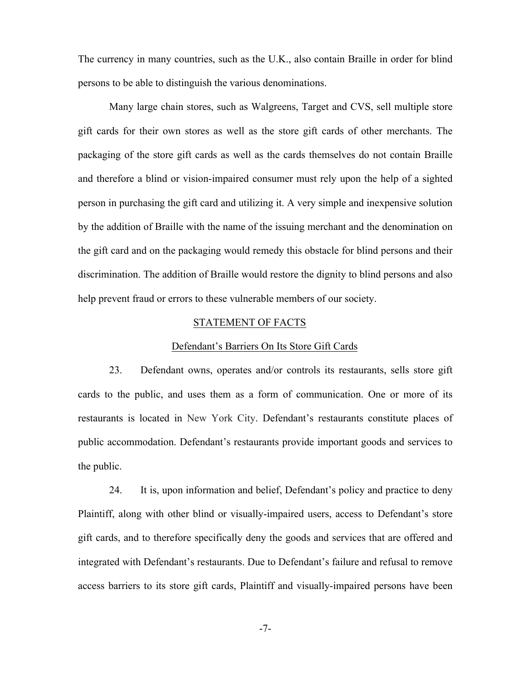The currency in many countries, such as the U.K., also contain Braille in order for blind persons to be able to distinguish the various denominations.

Many large chain stores, such as Walgreens, Target and CVS, sell multiple store gift cards for their own stores as well as the store gift cards of other merchants. The packaging of the store gift cards as well as the cards themselves do not contain Braille and therefore a blind or vision-impaired consumer must rely upon the help of a sighted person in purchasing the gift card and utilizing it. A very simple and inexpensive solution by the addition of Braille with the name of the issuing merchant and the denomination on the gift card and on the packaging would remedy this obstacle for blind persons and their discrimination. The addition of Braille would restore the dignity to blind persons and also help prevent fraud or errors to these vulnerable members of our society.

## STATEMENT OF FACTS

#### Defendant's Barriers On Its Store Gift Cards

23. Defendant owns, operates and/or controls its restaurants, sells store gift cards to the public, and uses them as a form of communication. One or more of its restaurants is located in New York City. Defendant's restaurants constitute places of public accommodation. Defendant's restaurants provide important goods and services to the public.

24. It is, upon information and belief, Defendant's policy and practice to deny Plaintiff, along with other blind or visually-impaired users, access to Defendant's store gift cards, and to therefore specifically deny the goods and services that are offered and integrated with Defendant's restaurants. Due to Defendant's failure and refusal to remove access barriers to its store gift cards, Plaintiff and visually-impaired persons have been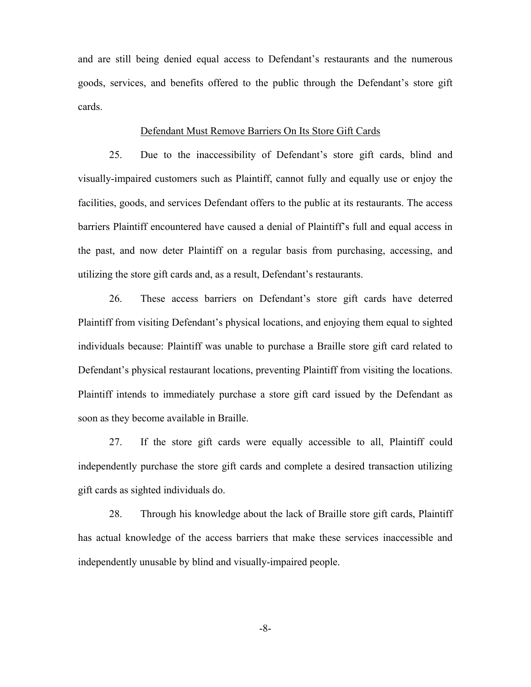and are still being denied equal access to Defendant's restaurants and the numerous goods, services, and benefits offered to the public through the Defendant's store gift cards.

## Defendant Must Remove Barriers On Its Store Gift Cards

25. Due to the inaccessibility of Defendant's store gift cards, blind and visually-impaired customers such as Plaintiff, cannot fully and equally use or enjoy the facilities, goods, and services Defendant offers to the public at its restaurants. The access barriers Plaintiff encountered have caused a denial of Plaintiff's full and equal access in the past, and now deter Plaintiff on a regular basis from purchasing, accessing, and utilizing the store gift cards and, as a result, Defendant's restaurants.

26. These access barriers on Defendant's store gift cards have deterred Plaintiff from visiting Defendant's physical locations, and enjoying them equal to sighted individuals because: Plaintiff was unable to purchase a Braille store gift card related to Defendant's physical restaurant locations, preventing Plaintiff from visiting the locations. Plaintiff intends to immediately purchase a store gift card issued by the Defendant as soon as they become available in Braille.

27. If the store gift cards were equally accessible to all, Plaintiff could independently purchase the store gift cards and complete a desired transaction utilizing gift cards as sighted individuals do.

28. Through his knowledge about the lack of Braille store gift cards, Plaintiff has actual knowledge of the access barriers that make these services inaccessible and independently unusable by blind and visually-impaired people.

-8-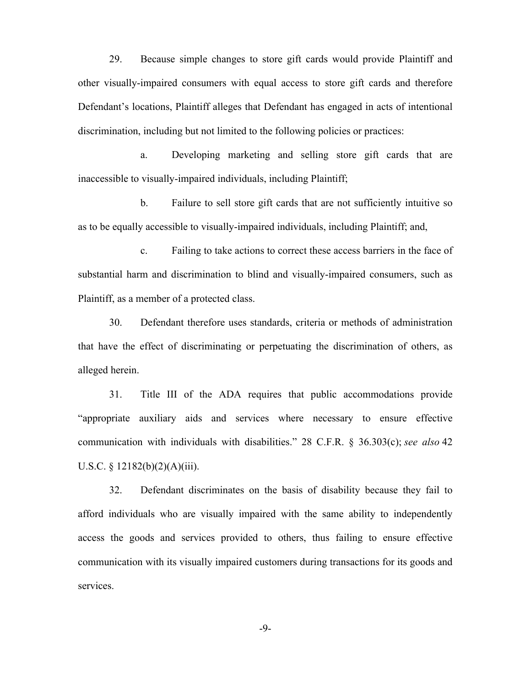29. Because simple changes to store gift cards would provide Plaintiff and other visually-impaired consumers with equal access to store gift cards and therefore Defendant's locations, Plaintiff alleges that Defendant has engaged in acts of intentional discrimination, including but not limited to the following policies or practices:

a. Developing marketing and selling store gift cards that are inaccessible to visually-impaired individuals, including Plaintiff;

b. Failure to sell store gift cards that are not sufficiently intuitive so as to be equally accessible to visually-impaired individuals, including Plaintiff; and,

c. Failing to take actions to correct these access barriers in the face of substantial harm and discrimination to blind and visually-impaired consumers, such as Plaintiff, as a member of a protected class.

30. Defendant therefore uses standards, criteria or methods of administration that have the effect of discriminating or perpetuating the discrimination of others, as alleged herein.

31. Title III of the ADA requires that public accommodations provide "appropriate auxiliary aids and services where necessary to ensure effective communication with individuals with disabilities." 28 C.F.R. § 36.303(c); *see also* 42 U.S.C. § 12182(b)(2)(A)(iii).

32. Defendant discriminates on the basis of disability because they fail to afford individuals who are visually impaired with the same ability to independently access the goods and services provided to others, thus failing to ensure effective communication with its visually impaired customers during transactions for its goods and services.

-9-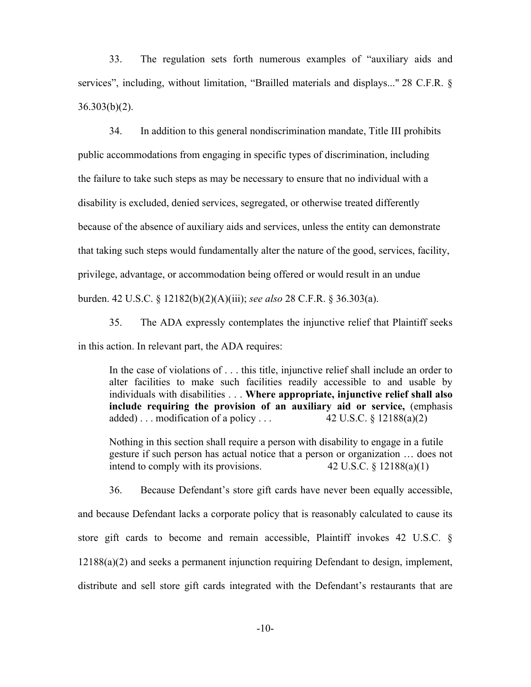33. The regulation sets forth numerous examples of "auxiliary aids and services", including, without limitation, "Brailled materials and displays..." 28 C.F.R. §  $36.303(b)(2)$ .

34. In addition to this general nondiscrimination mandate, Title III prohibits public accommodations from engaging in specific types of discrimination, including the failure to take such steps as may be necessary to ensure that no individual with a disability is excluded, denied services, segregated, or otherwise treated differently because of the absence of auxiliary aids and services, unless the entity can demonstrate that taking such steps would fundamentally alter the nature of the good, services, facility, privilege, advantage, or accommodation being offered or would result in an undue burden. 42 U.S.C. § 12182(b)(2)(A)(iii); *see also* 28 C.F.R. § 36.303(a).

35. The ADA expressly contemplates the injunctive relief that Plaintiff seeks in this action. In relevant part, the ADA requires:

In the case of violations of . . . this title, injunctive relief shall include an order to alter facilities to make such facilities readily accessible to and usable by individuals with disabilities . . . **Where appropriate, injunctive relief shall also include requiring the provision of an auxiliary aid or service,** (emphasis added)... modification of a policy...  $42 \text{ U.S.C.} \& 12188(a)(2)$ 

Nothing in this section shall require a person with disability to engage in a futile gesture if such person has actual notice that a person or organization … does not intend to comply with its provisions.  $42 \text{ U.S.C.} \$   $12188(a)(1)$ 

36. Because Defendant's store gift cards have never been equally accessible, and because Defendant lacks a corporate policy that is reasonably calculated to cause its store gift cards to become and remain accessible, Plaintiff invokes 42 U.S.C. § 12188(a)(2) and seeks a permanent injunction requiring Defendant to design, implement, distribute and sell store gift cards integrated with the Defendant's restaurants that are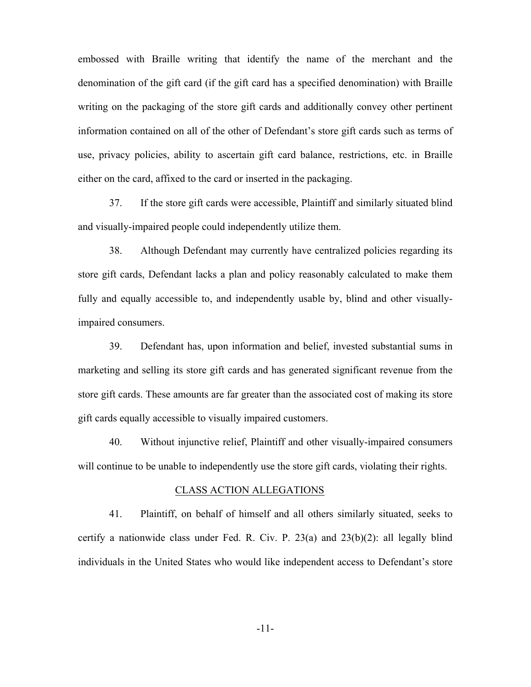embossed with Braille writing that identify the name of the merchant and the denomination of the gift card (if the gift card has a specified denomination) with Braille writing on the packaging of the store gift cards and additionally convey other pertinent information contained on all of the other of Defendant's store gift cards such as terms of use, privacy policies, ability to ascertain gift card balance, restrictions, etc. in Braille either on the card, affixed to the card or inserted in the packaging.

37. If the store gift cards were accessible, Plaintiff and similarly situated blind and visually-impaired people could independently utilize them.

38. Although Defendant may currently have centralized policies regarding its store gift cards, Defendant lacks a plan and policy reasonably calculated to make them fully and equally accessible to, and independently usable by, blind and other visuallyimpaired consumers.

39. Defendant has, upon information and belief, invested substantial sums in marketing and selling its store gift cards and has generated significant revenue from the store gift cards. These amounts are far greater than the associated cost of making its store gift cards equally accessible to visually impaired customers.

40. Without injunctive relief, Plaintiff and other visually-impaired consumers will continue to be unable to independently use the store gift cards, violating their rights.

### CLASS ACTION ALLEGATIONS

41. Plaintiff, on behalf of himself and all others similarly situated, seeks to certify a nationwide class under Fed. R. Civ. P. 23(a) and 23(b)(2): all legally blind individuals in the United States who would like independent access to Defendant's store

-11-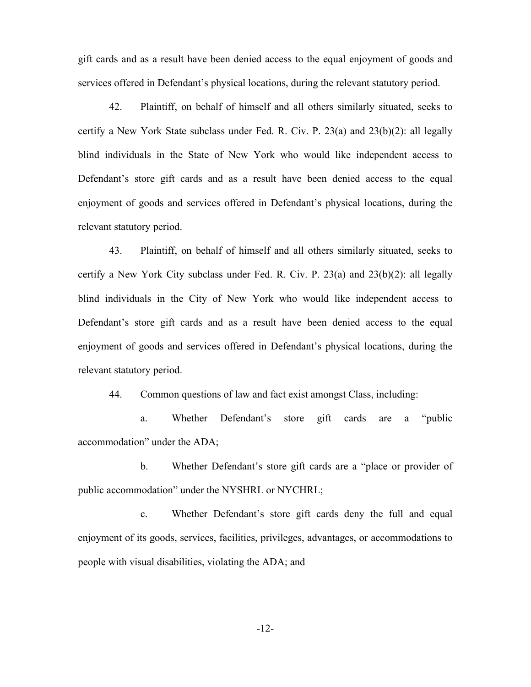gift cards and as a result have been denied access to the equal enjoyment of goods and services offered in Defendant's physical locations, during the relevant statutory period.

42. Plaintiff, on behalf of himself and all others similarly situated, seeks to certify a New York State subclass under Fed. R. Civ. P. 23(a) and 23(b)(2): all legally blind individuals in the State of New York who would like independent access to Defendant's store gift cards and as a result have been denied access to the equal enjoyment of goods and services offered in Defendant's physical locations, during the relevant statutory period.

43. Plaintiff, on behalf of himself and all others similarly situated, seeks to certify a New York City subclass under Fed. R. Civ. P.  $23(a)$  and  $23(b)(2)$ : all legally blind individuals in the City of New York who would like independent access to Defendant's store gift cards and as a result have been denied access to the equal enjoyment of goods and services offered in Defendant's physical locations, during the relevant statutory period.

44. Common questions of law and fact exist amongst Class, including:

a. Whether Defendant's store gift cards are a "public accommodation" under the ADA;

b. Whether Defendant's store gift cards are a "place or provider of public accommodation" under the NYSHRL or NYCHRL;

c. Whether Defendant's store gift cards deny the full and equal enjoyment of its goods, services, facilities, privileges, advantages, or accommodations to people with visual disabilities, violating the ADA; and

-12-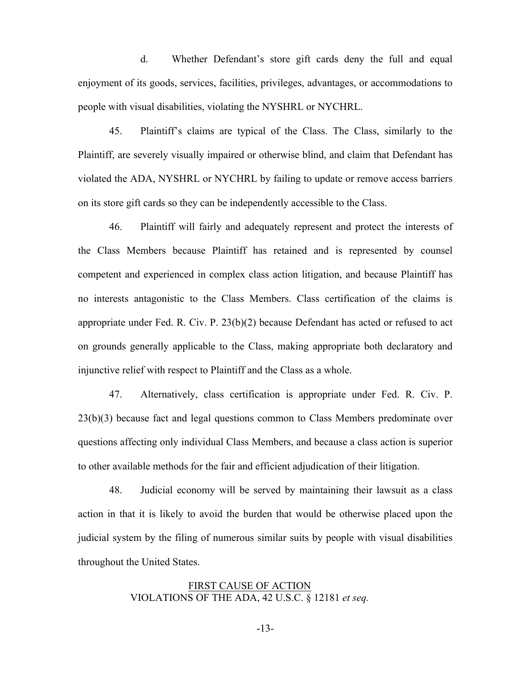d. Whether Defendant's store gift cards deny the full and equal enjoyment of its goods, services, facilities, privileges, advantages, or accommodations to people with visual disabilities, violating the NYSHRL or NYCHRL.

45. Plaintiff's claims are typical of the Class. The Class, similarly to the Plaintiff, are severely visually impaired or otherwise blind, and claim that Defendant has violated the ADA, NYSHRL or NYCHRL by failing to update or remove access barriers on its store gift cards so they can be independently accessible to the Class.

46. Plaintiff will fairly and adequately represent and protect the interests of the Class Members because Plaintiff has retained and is represented by counsel competent and experienced in complex class action litigation, and because Plaintiff has no interests antagonistic to the Class Members. Class certification of the claims is appropriate under Fed. R. Civ. P. 23(b)(2) because Defendant has acted or refused to act on grounds generally applicable to the Class, making appropriate both declaratory and injunctive relief with respect to Plaintiff and the Class as a whole.

47. Alternatively, class certification is appropriate under Fed. R. Civ. P. 23(b)(3) because fact and legal questions common to Class Members predominate over questions affecting only individual Class Members, and because a class action is superior to other available methods for the fair and efficient adjudication of their litigation.

48. Judicial economy will be served by maintaining their lawsuit as a class action in that it is likely to avoid the burden that would be otherwise placed upon the judicial system by the filing of numerous similar suits by people with visual disabilities throughout the United States.

> FIRST CAUSE OF ACTION VIOLATIONS OF THE ADA, 42 U.S.C. § 12181 *et seq.*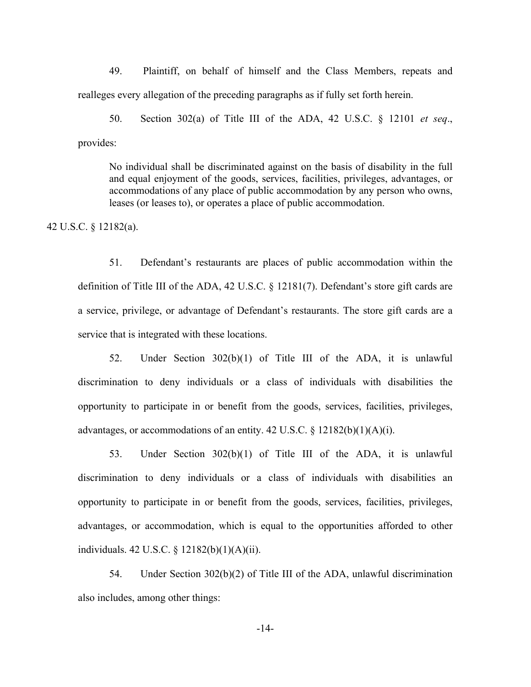49. Plaintiff, on behalf of himself and the Class Members, repeats and realleges every allegation of the preceding paragraphs as if fully set forth herein.

50. Section 302(a) of Title III of the ADA, 42 U.S.C. § 12101 *et seq*., provides:

No individual shall be discriminated against on the basis of disability in the full and equal enjoyment of the goods, services, facilities, privileges, advantages, or accommodations of any place of public accommodation by any person who owns, leases (or leases to), or operates a place of public accommodation.

42 U.S.C. § 12182(a).

51. Defendant's restaurants are places of public accommodation within the definition of Title III of the ADA, 42 U.S.C. § 12181(7). Defendant's store gift cards are a service, privilege, or advantage of Defendant's restaurants. The store gift cards are a service that is integrated with these locations.

52. Under Section 302(b)(1) of Title III of the ADA, it is unlawful discrimination to deny individuals or a class of individuals with disabilities the opportunity to participate in or benefit from the goods, services, facilities, privileges, advantages, or accommodations of an entity.  $42 \text{ U.S.C.}$  §  $12182(b)(1)(A)(i)$ .

53. Under Section 302(b)(1) of Title III of the ADA, it is unlawful discrimination to deny individuals or a class of individuals with disabilities an opportunity to participate in or benefit from the goods, services, facilities, privileges, advantages, or accommodation, which is equal to the opportunities afforded to other individuals. 42 U.S.C. § 12182(b)(1)(A)(ii).

54. Under Section 302(b)(2) of Title III of the ADA, unlawful discrimination also includes, among other things:

-14-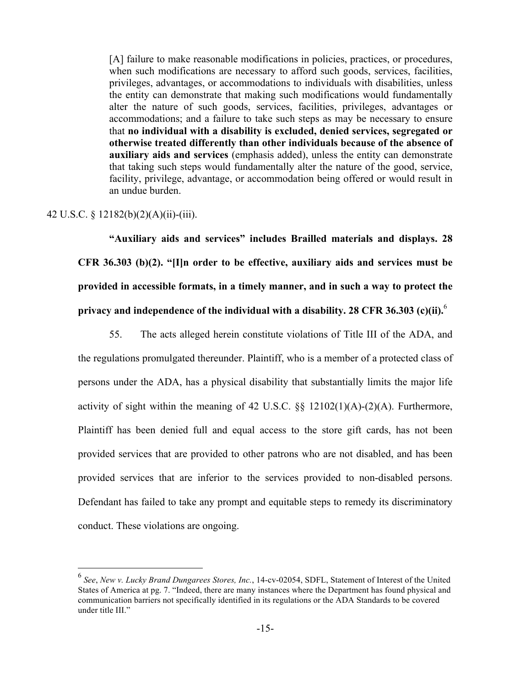[A] failure to make reasonable modifications in policies, practices, or procedures, when such modifications are necessary to afford such goods, services, facilities, privileges, advantages, or accommodations to individuals with disabilities, unless the entity can demonstrate that making such modifications would fundamentally alter the nature of such goods, services, facilities, privileges, advantages or accommodations; and a failure to take such steps as may be necessary to ensure that **no individual with a disability is excluded, denied services, segregated or otherwise treated differently than other individuals because of the absence of auxiliary aids and services** (emphasis added), unless the entity can demonstrate that taking such steps would fundamentally alter the nature of the good, service, facility, privilege, advantage, or accommodation being offered or would result in an undue burden.

# 42 U.S.C. § 12182(b)(2)(A)(ii)-(iii).

**"Auxiliary aids and services" includes Brailled materials and displays. 28 CFR 36.303 (b)(2). "[I]n order to be effective, auxiliary aids and services must be provided in accessible formats, in a timely manner, and in such a way to protect the privacy and independence of the individual with a disability. 28 CFR 36.303 (c)(ii).**<sup>6</sup>

55. The acts alleged herein constitute violations of Title III of the ADA, and the regulations promulgated thereunder. Plaintiff, who is a member of a protected class of persons under the ADA, has a physical disability that substantially limits the major life activity of sight within the meaning of 42 U.S.C. §§ 12102(1)(A)-(2)(A). Furthermore, Plaintiff has been denied full and equal access to the store gift cards, has not been provided services that are provided to other patrons who are not disabled, and has been provided services that are inferior to the services provided to non-disabled persons. Defendant has failed to take any prompt and equitable steps to remedy its discriminatory conduct. These violations are ongoing.

 <sup>6</sup> *See*, *New v. Lucky Brand Dungarees Stores, Inc.*, 14-cv-02054, SDFL, Statement of Interest of the United States of America at pg. 7. "Indeed, there are many instances where the Department has found physical and communication barriers not specifically identified in its regulations or the ADA Standards to be covered under title III."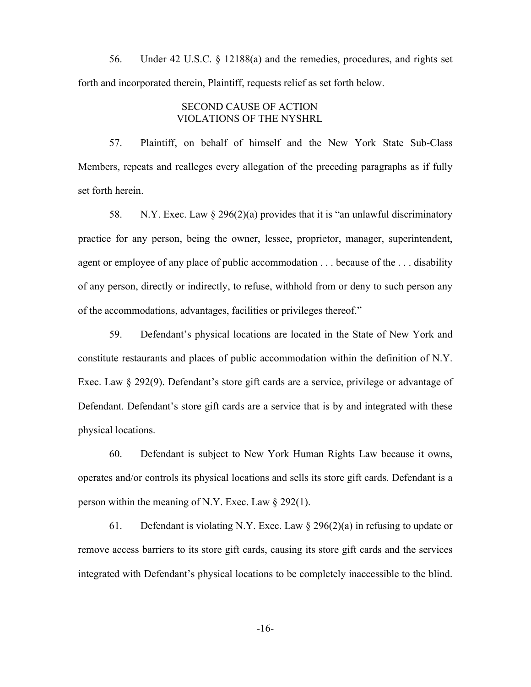56. Under 42 U.S.C. § 12188(a) and the remedies, procedures, and rights set forth and incorporated therein, Plaintiff, requests relief as set forth below.

## SECOND CAUSE OF ACTION VIOLATIONS OF THE NYSHRL

57. Plaintiff, on behalf of himself and the New York State Sub-Class Members, repeats and realleges every allegation of the preceding paragraphs as if fully set forth herein.

58. N.Y. Exec. Law § 296(2)(a) provides that it is "an unlawful discriminatory practice for any person, being the owner, lessee, proprietor, manager, superintendent, agent or employee of any place of public accommodation . . . because of the . . . disability of any person, directly or indirectly, to refuse, withhold from or deny to such person any of the accommodations, advantages, facilities or privileges thereof."

59. Defendant's physical locations are located in the State of New York and constitute restaurants and places of public accommodation within the definition of N.Y. Exec. Law § 292(9). Defendant's store gift cards are a service, privilege or advantage of Defendant. Defendant's store gift cards are a service that is by and integrated with these physical locations.

60. Defendant is subject to New York Human Rights Law because it owns, operates and/or controls its physical locations and sells its store gift cards. Defendant is a person within the meaning of N.Y. Exec. Law  $\S 292(1)$ .

61. Defendant is violating N.Y. Exec. Law  $\S 296(2)(a)$  in refusing to update or remove access barriers to its store gift cards, causing its store gift cards and the services integrated with Defendant's physical locations to be completely inaccessible to the blind.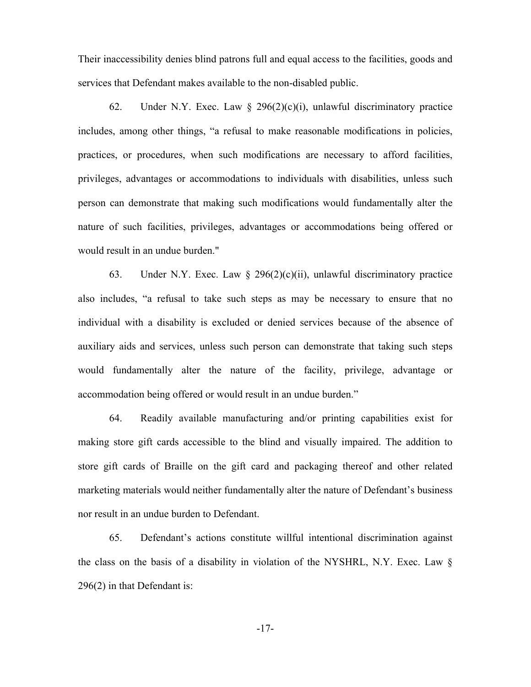Their inaccessibility denies blind patrons full and equal access to the facilities, goods and services that Defendant makes available to the non-disabled public.

62. Under N.Y. Exec. Law  $\S$  296(2)(c)(i), unlawful discriminatory practice includes, among other things, "a refusal to make reasonable modifications in policies, practices, or procedures, when such modifications are necessary to afford facilities, privileges, advantages or accommodations to individuals with disabilities, unless such person can demonstrate that making such modifications would fundamentally alter the nature of such facilities, privileges, advantages or accommodations being offered or would result in an undue burden."

63. Under N.Y. Exec. Law  $\S$  296(2)(c)(ii), unlawful discriminatory practice also includes, "a refusal to take such steps as may be necessary to ensure that no individual with a disability is excluded or denied services because of the absence of auxiliary aids and services, unless such person can demonstrate that taking such steps would fundamentally alter the nature of the facility, privilege, advantage or accommodation being offered or would result in an undue burden."

64. Readily available manufacturing and/or printing capabilities exist for making store gift cards accessible to the blind and visually impaired. The addition to store gift cards of Braille on the gift card and packaging thereof and other related marketing materials would neither fundamentally alter the nature of Defendant's business nor result in an undue burden to Defendant.

65. Defendant's actions constitute willful intentional discrimination against the class on the basis of a disability in violation of the NYSHRL, N.Y. Exec. Law § 296(2) in that Defendant is: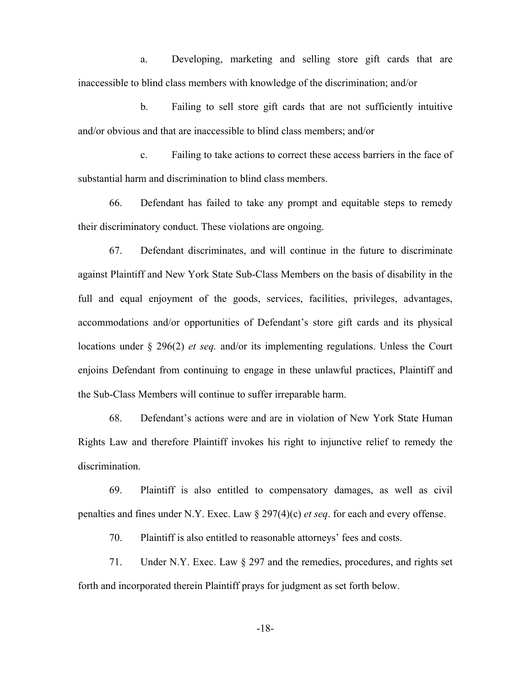a. Developing, marketing and selling store gift cards that are inaccessible to blind class members with knowledge of the discrimination; and/or

b. Failing to sell store gift cards that are not sufficiently intuitive and/or obvious and that are inaccessible to blind class members; and/or

c. Failing to take actions to correct these access barriers in the face of substantial harm and discrimination to blind class members.

66. Defendant has failed to take any prompt and equitable steps to remedy their discriminatory conduct. These violations are ongoing.

67. Defendant discriminates, and will continue in the future to discriminate against Plaintiff and New York State Sub-Class Members on the basis of disability in the full and equal enjoyment of the goods, services, facilities, privileges, advantages, accommodations and/or opportunities of Defendant's store gift cards and its physical locations under § 296(2) *et seq.* and/or its implementing regulations. Unless the Court enjoins Defendant from continuing to engage in these unlawful practices, Plaintiff and the Sub-Class Members will continue to suffer irreparable harm.

68. Defendant's actions were and are in violation of New York State Human Rights Law and therefore Plaintiff invokes his right to injunctive relief to remedy the discrimination.

69. Plaintiff is also entitled to compensatory damages, as well as civil penalties and fines under N.Y. Exec. Law § 297(4)(c) *et seq*. for each and every offense.

70. Plaintiff is also entitled to reasonable attorneys' fees and costs.

71. Under N.Y. Exec. Law § 297 and the remedies, procedures, and rights set forth and incorporated therein Plaintiff prays for judgment as set forth below.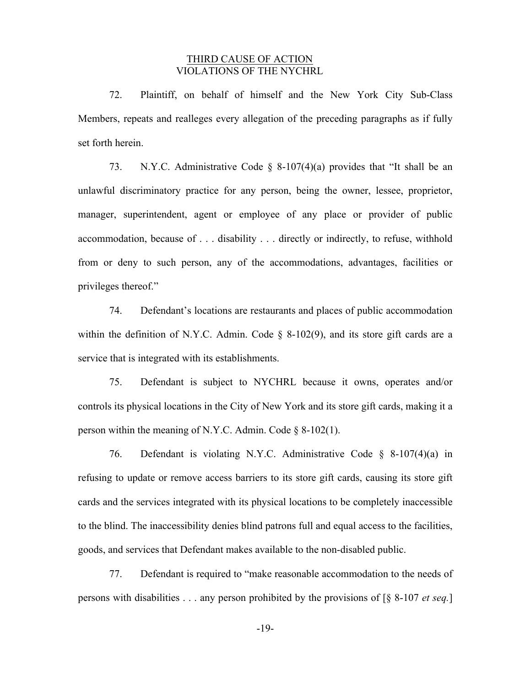# THIRD CAUSE OF ACTION VIOLATIONS OF THE NYCHRL

72. Plaintiff, on behalf of himself and the New York City Sub-Class Members, repeats and realleges every allegation of the preceding paragraphs as if fully set forth herein.

73. N.Y.C. Administrative Code § 8-107(4)(a) provides that "It shall be an unlawful discriminatory practice for any person, being the owner, lessee, proprietor, manager, superintendent, agent or employee of any place or provider of public accommodation, because of . . . disability . . . directly or indirectly, to refuse, withhold from or deny to such person, any of the accommodations, advantages, facilities or privileges thereof."

74. Defendant's locations are restaurants and places of public accommodation within the definition of N.Y.C. Admin. Code § 8-102(9), and its store gift cards are a service that is integrated with its establishments.

75. Defendant is subject to NYCHRL because it owns, operates and/or controls its physical locations in the City of New York and its store gift cards, making it a person within the meaning of N.Y.C. Admin. Code  $\delta$  8-102(1).

76. Defendant is violating N.Y.C. Administrative Code § 8-107(4)(a) in refusing to update or remove access barriers to its store gift cards, causing its store gift cards and the services integrated with its physical locations to be completely inaccessible to the blind. The inaccessibility denies blind patrons full and equal access to the facilities, goods, and services that Defendant makes available to the non-disabled public.

77. Defendant is required to "make reasonable accommodation to the needs of persons with disabilities . . . any person prohibited by the provisions of [§ 8-107 *et seq.*]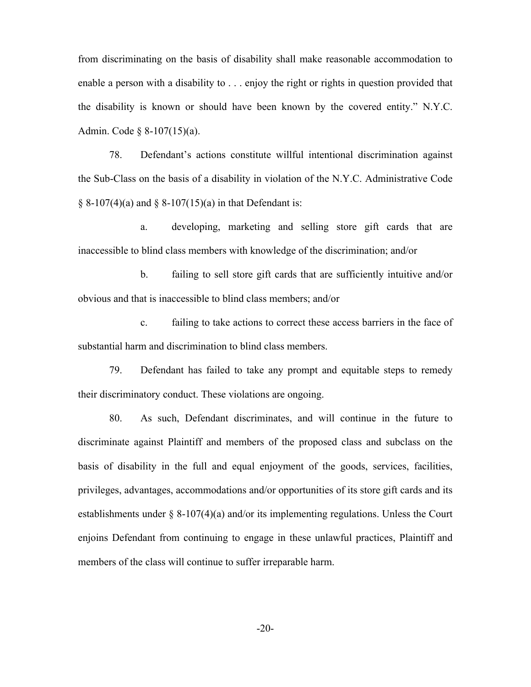from discriminating on the basis of disability shall make reasonable accommodation to enable a person with a disability to . . . enjoy the right or rights in question provided that the disability is known or should have been known by the covered entity." N.Y.C. Admin. Code § 8-107(15)(a).

78. Defendant's actions constitute willful intentional discrimination against the Sub-Class on the basis of a disability in violation of the N.Y.C. Administrative Code  $§ 8-107(4)(a)$  and  $§ 8-107(15)(a)$  in that Defendant is:

a. developing, marketing and selling store gift cards that are inaccessible to blind class members with knowledge of the discrimination; and/or

b. failing to sell store gift cards that are sufficiently intuitive and/or obvious and that is inaccessible to blind class members; and/or

c. failing to take actions to correct these access barriers in the face of substantial harm and discrimination to blind class members.

79. Defendant has failed to take any prompt and equitable steps to remedy their discriminatory conduct. These violations are ongoing.

80. As such, Defendant discriminates, and will continue in the future to discriminate against Plaintiff and members of the proposed class and subclass on the basis of disability in the full and equal enjoyment of the goods, services, facilities, privileges, advantages, accommodations and/or opportunities of its store gift cards and its establishments under § 8-107(4)(a) and/or its implementing regulations. Unless the Court enjoins Defendant from continuing to engage in these unlawful practices, Plaintiff and members of the class will continue to suffer irreparable harm.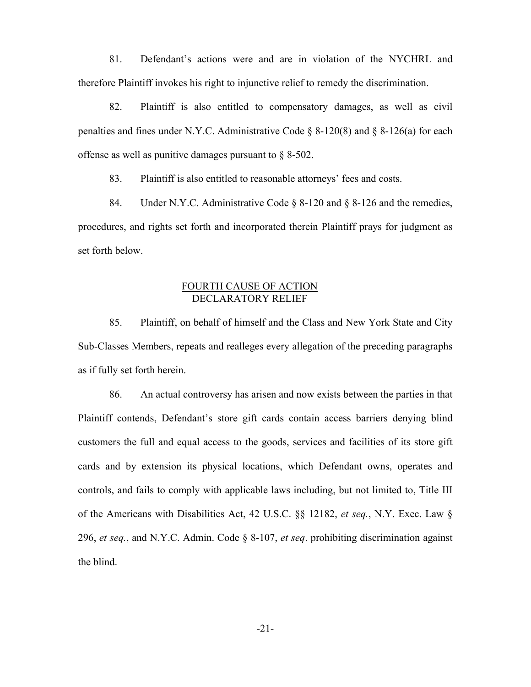81. Defendant's actions were and are in violation of the NYCHRL and therefore Plaintiff invokes his right to injunctive relief to remedy the discrimination.

82. Plaintiff is also entitled to compensatory damages, as well as civil penalties and fines under N.Y.C. Administrative Code  $\S$  8-120(8) and  $\S$  8-126(a) for each offense as well as punitive damages pursuant to § 8-502.

83. Plaintiff is also entitled to reasonable attorneys' fees and costs.

84. Under N.Y.C. Administrative Code § 8-120 and § 8-126 and the remedies, procedures, and rights set forth and incorporated therein Plaintiff prays for judgment as set forth below.

# FOURTH CAUSE OF ACTION DECLARATORY RELIEF

85. Plaintiff, on behalf of himself and the Class and New York State and City Sub-Classes Members, repeats and realleges every allegation of the preceding paragraphs as if fully set forth herein.

86. An actual controversy has arisen and now exists between the parties in that Plaintiff contends, Defendant's store gift cards contain access barriers denying blind customers the full and equal access to the goods, services and facilities of its store gift cards and by extension its physical locations, which Defendant owns, operates and controls, and fails to comply with applicable laws including, but not limited to, Title III of the Americans with Disabilities Act, 42 U.S.C. §§ 12182, *et seq.*, N.Y. Exec. Law § 296, *et seq.*, and N.Y.C. Admin. Code § 8-107, *et seq*. prohibiting discrimination against the blind.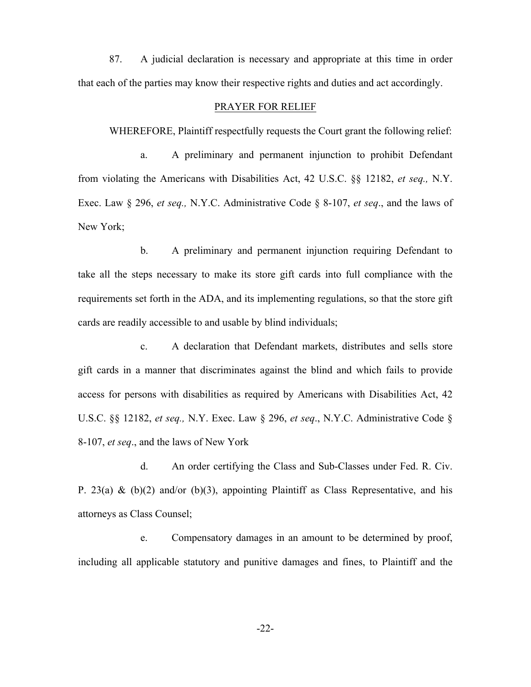87. A judicial declaration is necessary and appropriate at this time in order that each of the parties may know their respective rights and duties and act accordingly.

## PRAYER FOR RELIEF

WHEREFORE, Plaintiff respectfully requests the Court grant the following relief:

a. A preliminary and permanent injunction to prohibit Defendant from violating the Americans with Disabilities Act, 42 U.S.C. §§ 12182, *et seq.,* N.Y. Exec. Law § 296, *et seq.,* N.Y.C. Administrative Code § 8-107, *et seq*., and the laws of New York;

b. A preliminary and permanent injunction requiring Defendant to take all the steps necessary to make its store gift cards into full compliance with the requirements set forth in the ADA, and its implementing regulations, so that the store gift cards are readily accessible to and usable by blind individuals;

c. A declaration that Defendant markets, distributes and sells store gift cards in a manner that discriminates against the blind and which fails to provide access for persons with disabilities as required by Americans with Disabilities Act, 42 U.S.C. §§ 12182, *et seq.,* N.Y. Exec. Law § 296, *et seq*., N.Y.C. Administrative Code § 8-107, *et seq*., and the laws of New York

d. An order certifying the Class and Sub-Classes under Fed. R. Civ. P. 23(a) & (b)(2) and/or (b)(3), appointing Plaintiff as Class Representative, and his attorneys as Class Counsel;

e. Compensatory damages in an amount to be determined by proof, including all applicable statutory and punitive damages and fines, to Plaintiff and the

-22-